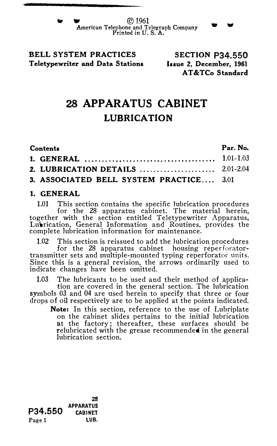$\circ$  1961 American Telephone and Telegraph Company Printed in U.S. A.

## BELL SYSTEM PRACTICES Teletypewriter and Data Stations

SECTION P34.550 Issue 2, December, 1961 AT&TCo Standard

. .

# 28 APPARATUS CABINET LUBRICATION

| Contents |                                         | Par. No. |
|----------|-----------------------------------------|----------|
|          |                                         |          |
|          |                                         |          |
|          | 3. ASSOCIATED BELL SYSTEM PRACTICE 3.01 |          |

#### 1. GENERAL

1.01 This section contains the specific lubrication procedures for the 28 apparatus cabinet. The material herein, together with the section entitled Teletypewriter Apparatus, Lubrication, General Information and Routines, provides the complete lubrication information for maintenance.

1.02 This section is reissued to add the lubrication procedures for the 28 apparatus cabinet housing reperforator-transmitter sets and multiple-mounted typing reperforator units. Since this is a general revision, the arrows ordinarily used to indicate changes have been omitted.

1.03 The lubricants to be used and their method of application are covered in the general section. The lubrication symbols 03 and 04 are used herein to specify that three or four drops of oil respectively are to be applied at the points indicated.

Note: In this section, reference to the use of Lubriplate on the cabinet slides pertains to the initial lubrication at the factory; thereafter, these surfaces should be relubricated with the grease recommended in the general lubrication section.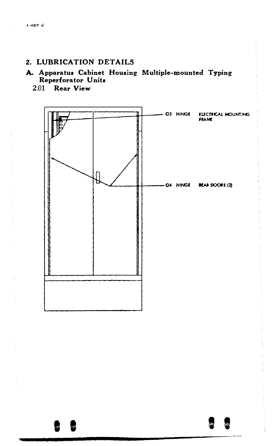#### 2. LUBRICATION DETAILS

### A. Apparatus Cabinet Housing Multiple-mounted Typing Reperforator Units

2.01 Rear View

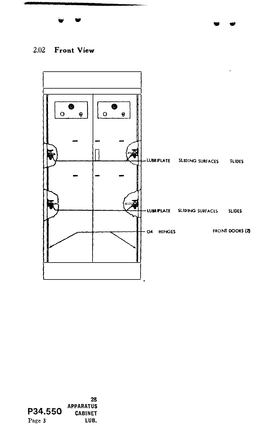

 $\bullet$   $\bullet$ 

## 2.02 Front View

•



P34.550 APPARATUS Page 3 2S CABINET LUB.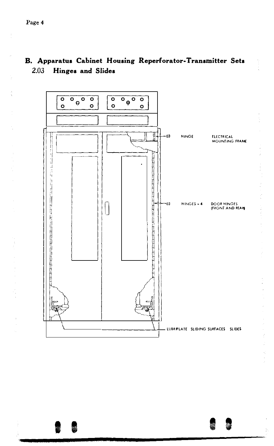#### B. Apparatus Cabinet Housing Reperforator-Transmitter Sets 2.03 **Hinges and Slides**

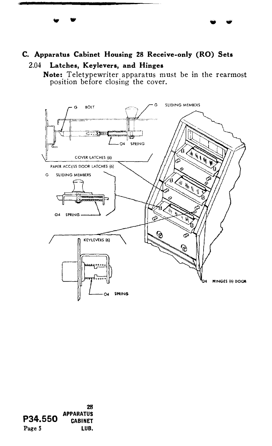# C. Apparatus Cabinet Housing 28 Receive-only (RO) Sets

2.04 Latches, Keylevers, and Hinges

Note: Teletypewriter apparatus must be in the rearmost position before closing the cover.



28 **APPARATUS** P34.550 **CABINET** Page 5 LUB.